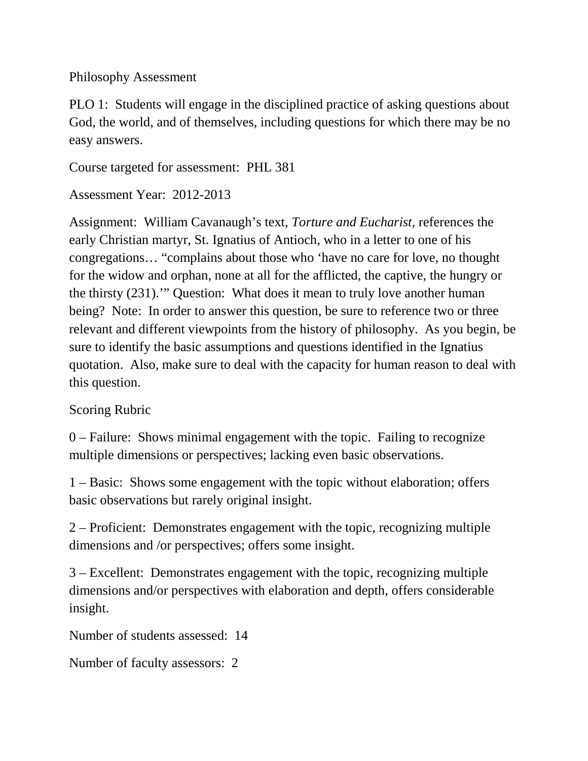## Philosophy Assessment

PLO 1: Students will engage in the disciplined practice of asking questions about God, the world, and of themselves, including questions for which there may be no easy answers.

Course targeted for assessment: PHL 381

Assessment Year: 2012-2013

Assignment: William Cavanaugh's text, *Torture and Eucharist,* references the early Christian martyr, St. Ignatius of Antioch, who in a letter to one of his congregations… "complains about those who 'have no care for love, no thought for the widow and orphan, none at all for the afflicted, the captive, the hungry or the thirsty (231).'" Question: What does it mean to truly love another human being? Note: In order to answer this question, be sure to reference two or three relevant and different viewpoints from the history of philosophy. As you begin, be sure to identify the basic assumptions and questions identified in the Ignatius quotation. Also, make sure to deal with the capacity for human reason to deal with this question.

## Scoring Rubric

0 – Failure: Shows minimal engagement with the topic. Failing to recognize multiple dimensions or perspectives; lacking even basic observations.

1 – Basic: Shows some engagement with the topic without elaboration; offers basic observations but rarely original insight.

2 – Proficient: Demonstrates engagement with the topic, recognizing multiple dimensions and /or perspectives; offers some insight.

3 – Excellent: Demonstrates engagement with the topic, recognizing multiple dimensions and/or perspectives with elaboration and depth, offers considerable insight.

Number of students assessed: 14

Number of faculty assessors: 2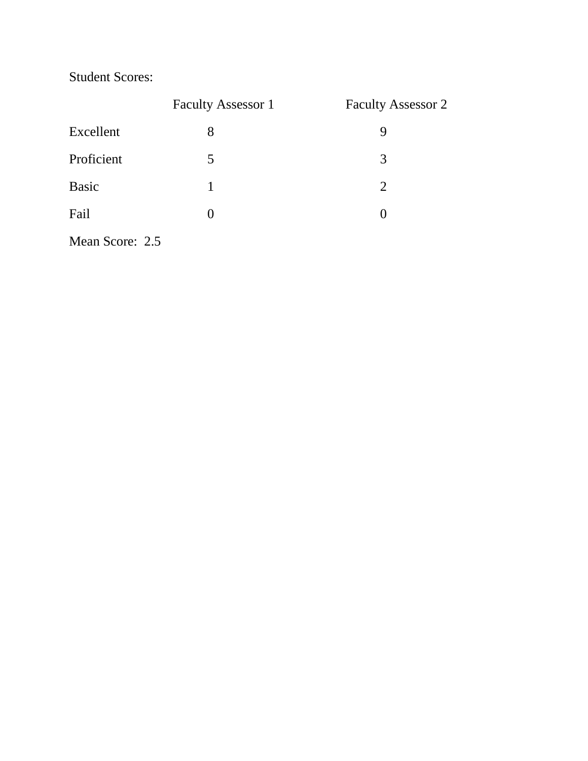Student Scores:

|                 | <b>Faculty Assessor 1</b> | <b>Faculty Assessor 2</b> |
|-----------------|---------------------------|---------------------------|
| Excellent       | 8                         | 9                         |
| Proficient      | 5                         | 3                         |
| <b>Basic</b>    |                           | 2                         |
| Fail            | 0                         |                           |
| Mean Score: 2.5 |                           |                           |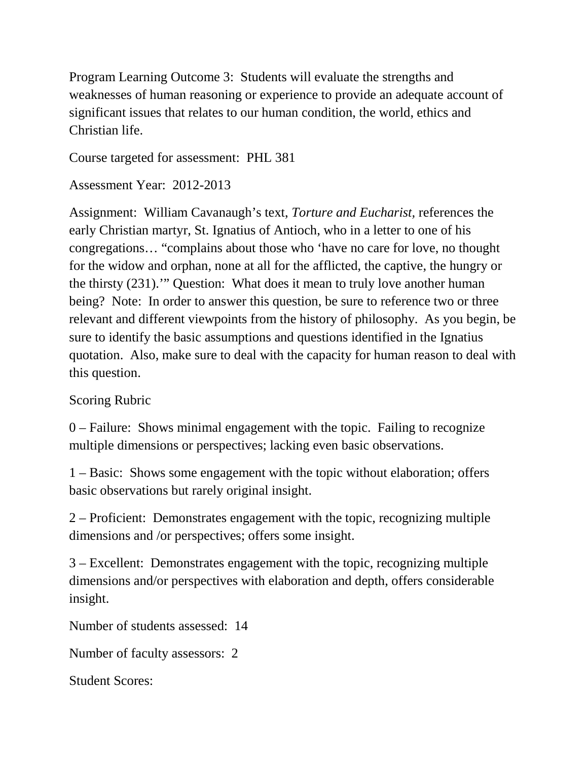Program Learning Outcome 3: Students will evaluate the strengths and weaknesses of human reasoning or experience to provide an adequate account of significant issues that relates to our human condition, the world, ethics and Christian life.

Course targeted for assessment: PHL 381

Assessment Year: 2012-2013

Assignment: William Cavanaugh's text, *Torture and Eucharist,* references the early Christian martyr, St. Ignatius of Antioch, who in a letter to one of his congregations… "complains about those who 'have no care for love, no thought for the widow and orphan, none at all for the afflicted, the captive, the hungry or the thirsty (231).'" Question: What does it mean to truly love another human being? Note: In order to answer this question, be sure to reference two or three relevant and different viewpoints from the history of philosophy. As you begin, be sure to identify the basic assumptions and questions identified in the Ignatius quotation. Also, make sure to deal with the capacity for human reason to deal with this question.

Scoring Rubric

0 – Failure: Shows minimal engagement with the topic. Failing to recognize multiple dimensions or perspectives; lacking even basic observations.

1 – Basic: Shows some engagement with the topic without elaboration; offers basic observations but rarely original insight.

2 – Proficient: Demonstrates engagement with the topic, recognizing multiple dimensions and /or perspectives; offers some insight.

3 – Excellent: Demonstrates engagement with the topic, recognizing multiple dimensions and/or perspectives with elaboration and depth, offers considerable insight.

Number of students assessed: 14

Number of faculty assessors: 2

Student Scores: